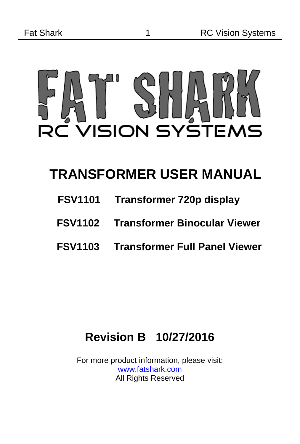

### **TRANSFORMER USER MANUAL**

- **FSV1101 Transformer 720p display**
- **FSV1102 Transformer Binocular Viewer**
- **FSV1103 Transformer Full Panel Viewer**

#### **Revision B 10/27/2016**

For more product information, please visit: [www.fatshark.com](http://www.fatshark.com/) **All Rights Reserved**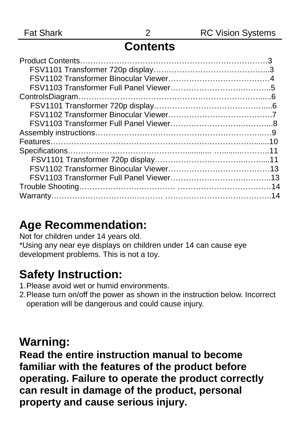#### **Contents**

#### **Age Recommendation:**

Not for children under 14 years old.

\*Using any near eye displays on children under 14 can cause eye development problems. This is not a toy.

#### **Safety Instruction:**

- 1.Please avoid wet or humid environments.
- 2.Please turn on/off the power as shown in the instruction below. Incorrect operation will be dangerous and could cause injury.

#### **Warning:**

**Read the entire instruction manual to become familiar with the features of the product before operating. Failure to operate the product correctly can result in damage of the product, personal property and cause serious injury.**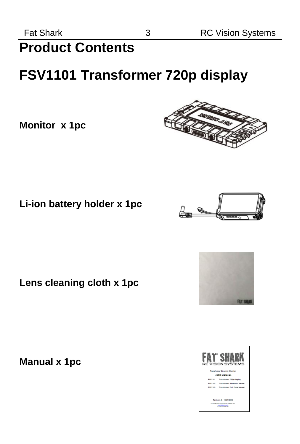# **Product Contents**

# **FSV1101 Transformer 720p display**

**Monitor x 1pc**

**Li-ion battery holder x 1pc** 

**Lens cleaning cloth x 1pc** 

**Manual x 1pc**







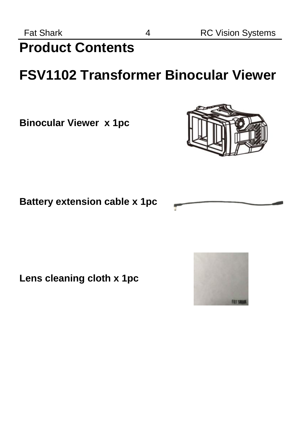# <span id="page-3-0"></span>**Product Contents**

# **FSV1102 Transformer Binocular Viewer**

**Binocular Viewer x 1pc** 



#### **Battery extension cable x 1pc**

**Lens cleaning cloth x 1pc** 

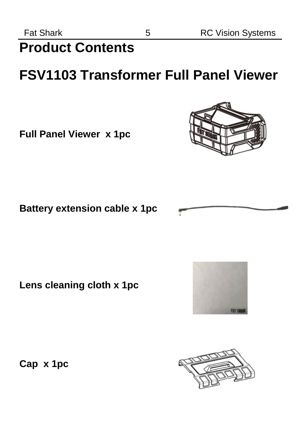**Product Contents**

## **FSV1103 Transformer Full Panel Viewer**

**Full Panel Viewer x 1pc**



**Lens cleaning cloth x 1pc** 

<span id="page-4-0"></span>**Cap x 1pc** 





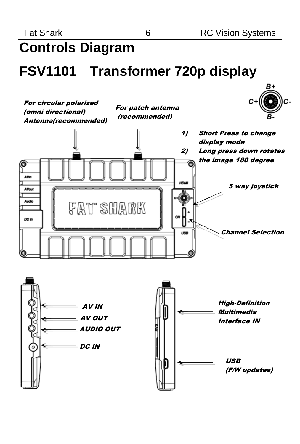# **Controls Diagram**

### **FSV1101 Transformer 720p display**



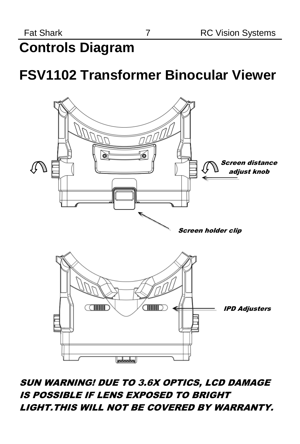# **Controls Diagram**

## **FSV1102 Transformer Binocular Viewer**



#### SUN WARNING! DUE TO 3.6X OPTICS, LCD DAMAGE IS POSSIBLE IF LENS EXPOSED TO BRIGHT LIGHT.THIS WILL NOT BE COVERED BY WARRANTY.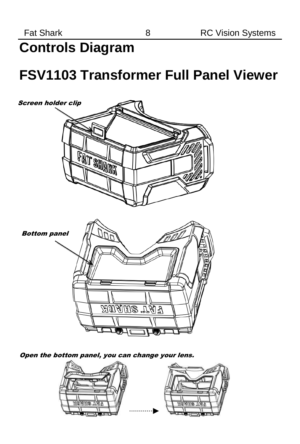# **Controls Diagram**

### **FSV1103 Transformer Full Panel Viewer**



Open the bottom panel, you can change your lens.

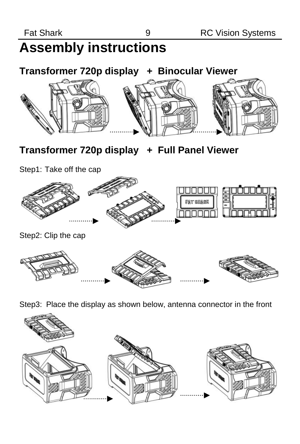# **Assembly instructions**

**Transformer 720p display + Binocular Viewer**



#### **Transformer 720p display + Full Panel Viewer**

Step1: Take off the cap



Step3: Place the display as shown below, antenna connector in the front

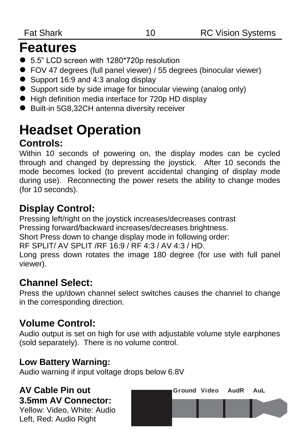### **Features**

- 5.5" LCD screen with 1280\*720p resolution
- FOV 47 degrees (full panel viewer) / 55 degrees (binocular viewer)
- Support 16:9 and 4:3 analog display
- Support side by side image for binocular viewing (analog only)
- High definition media interface for 720p HD display
- Built-in 5G8,32CH antenna diversity receiver

# <span id="page-9-0"></span>**Headset Operation**

#### **Controls:**

Within 10 seconds of powering on, the display modes can be cycled through and changed by depressing the joystick. After 10 seconds the mode becomes locked (to prevent accidental changing of display mode during use). Reconnecting the power resets the ability to change modes (for 10 seconds).

#### **Display Control:**

Pressing left/right on the joystick increases/decreases contrast

Pressing forward/backward increases/decreases brightness.

Short Press down to change display mode in following order:

RF SPLIT/ AV SPLIT /RF 16:9 / RF 4:3 / AV 4:3 / HD.

Long press down rotates the image 180 degree (for use with full panel viewer).

#### **Channel Select:**

Press the up/down channel select switches causes the channel to change in the corresponding direction.

#### **Volume Control:**

Audio output is set on high for use with adjustable volume style earphones (sold separately). There is no volume control.

#### **Low Battery Warning:**

Audio warning if input voltage drops below 6.8V

#### **AV Cable Pin out 3.5mm AV Connector:**

Yellow: Video, White: Audio Left, Red: Audio Right

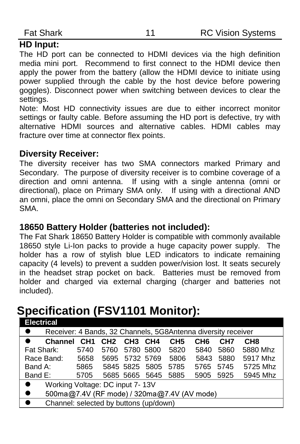#### **HD Input:**

The HD port can be connected to HDMI devices via the high definition media mini port. Recommend to first connect to the HDMI device then apply the power from the battery (allow the HDMI device to initiate using power supplied through the cable by the host device before powering goggles). Disconnect power when switching between devices to clear the settings.

Note: Most HD connectivity issues are due to either incorrect monitor settings or faulty cable. Before assuming the HD port is defective, try with alternative HDMI sources and alternative cables. HDMI cables may fracture over time at connector flex points.

#### **Diversity Receiver:**

The diversity receiver has two SMA connectors marked Primary and Secondary. The purpose of diversity receiver is to combine coverage of a direction and omni antenna. If using with a single antenna (omni or directional), place on Primary SMA only. If using with a directional AND an omni, place the omni on Secondary SMA and the directional on Primary SMA.

#### **18650 Battery Holder (batteries not included):**

The Fat Shark 18650 Battery Holder is compatible with commonly available 18650 style Li-Ion packs to provide a huge capacity power supply. The holder has a row of stylish blue LED indicators to indicate remaining capacity (4 levels) to prevent a sudden power/vision lost. It seats securely in the headset strap pocket on back. Batteries must be removed from holder and charged via external charging (charger and batteries not included).

#### **Specification (FSV1101 Monitor):**

| <b>Electrical</b>                                                          |                 |                 |                 |                |                 |                 |                 |                 |
|----------------------------------------------------------------------------|-----------------|-----------------|-----------------|----------------|-----------------|-----------------|-----------------|-----------------|
| $\bullet$<br>Receiver: 4 Bands, 32 Channels, 5G8Antenna diversity receiver |                 |                 |                 |                |                 |                 |                 |                 |
| <b>Channel</b>                                                             | CH <sub>1</sub> | CH <sub>2</sub> | CH <sub>3</sub> | CH4            | CH <sub>5</sub> | CH <sub>6</sub> | CH <sub>7</sub> | CH <sub>8</sub> |
| Fat Shark:                                                                 | 5740            | 5760            |                 | 5780 5800      | 5820            | 5840            | 5860            | 5880 Mhz        |
| Race Band:                                                                 | 5658            | 5695            |                 | 5732 5769      | 5806            | 5843            | 5880            | 5917 Mhz        |
| Band A:                                                                    | 5865            |                 | 5845 5825       | 5805           | 5785            | 5765            | 5745            | 5725 Mhz        |
| Band E:                                                                    | 5705            |                 |                 | 5685 5665 5645 | 5885            | 5905            | 5925            | 5945 Mhz        |
| Working Voltage: DC input 7-13V<br>$\bullet$                               |                 |                 |                 |                |                 |                 |                 |                 |
| 500ma@7.4V (RF mode) / 320ma@7.4V (AV mode)<br>$\bullet$                   |                 |                 |                 |                |                 |                 |                 |                 |
| $\bullet$<br>Channel: selected by buttons (up/down)                        |                 |                 |                 |                |                 |                 |                 |                 |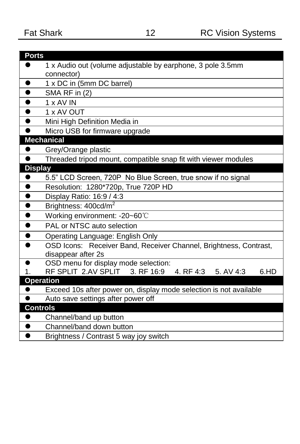<span id="page-11-0"></span>

| <b>Ports</b>    |                                                                    |
|-----------------|--------------------------------------------------------------------|
|                 | 1 x Audio out (volume adjustable by earphone, 3 pole 3.5mm         |
|                 | connector)                                                         |
| $\bullet$       | 1 x DC in (5mm DC barrel)                                          |
| $\bullet$       | SMA RF in (2)                                                      |
| $\bullet$       | 1 x AV IN                                                          |
| $\bullet$       | 1 x AV OUT                                                         |
| $\bullet$       | Mini High Definition Media in                                      |
| $\bullet$       | Micro USB for firmware upgrade                                     |
|                 | <b>Mechanical</b>                                                  |
| $\bullet$       | Grey/Orange plastic                                                |
| $\bullet$       | Threaded tripod mount, compatible snap fit with viewer modules     |
| <b>Display</b>  |                                                                    |
| $\bullet$       | 5.5" LCD Screen, 720P No Blue Screen, true snow if no signal       |
| $\bullet$       | Resolution: 1280*720p, True 720P HD                                |
| $\bullet$       | Display Ratio: 16:9 / 4:3                                          |
| $\bullet$       | Brightness: 400cd/m <sup>2</sup>                                   |
| $\bullet$       | Working environment: -20~60°C                                      |
| $\bullet$       | PAL or NTSC auto selection                                         |
| $\bullet$       | Operating Language: English Only                                   |
| $\bullet$       | OSD Icons: Receiver Band, Receiver Channel, Brightness, Contrast,  |
|                 | disappear after 2s                                                 |
| $\bullet$       | OSD menu for display mode selection:                               |
| 1.              | RF SPLIT 2.AV SPLIT 3. RF 16:9<br>6.HD<br>4. RF 4:3<br>5. AV 4:3   |
|                 | <b>Operation</b>                                                   |
|                 | Exceed 10s after power on, display mode selection is not available |
|                 | Auto save settings after power off                                 |
| <b>Controls</b> |                                                                    |
|                 | Channel/band up button                                             |
| $\bullet$       | Channel/band down button                                           |
| $\bullet$       | Brightness / Contrast 5 way joy switch                             |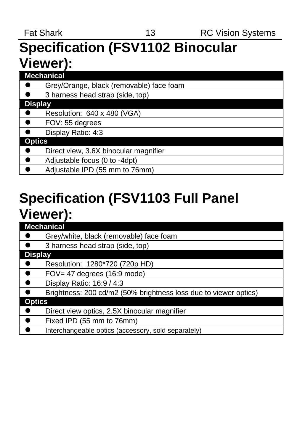# **Specification (FSV1102 Binocular Viewer):**

| Mechanical                               |
|------------------------------------------|
| Grey/Orange, black (removable) face foam |
| 3 harness head strap (side, top)         |
| <b>Display</b>                           |
| Resolution: 640 x 480 (VGA)              |
| $\bullet$<br>FOV: 55 degrees             |
| Display Ratio: 4:3                       |
| <b>Optics</b>                            |
| Direct view, 3.6X binocular magnifier    |
| ∣●<br>Adjustable focus (0 to -4dpt)      |
| Adjustable IPD (55 mm to 76mm)           |

# **Specification (FSV1103 Full Panel Viewer):**

| <b>Mechanical</b>                                                |
|------------------------------------------------------------------|
| Grey/white, black (removable) face foam                          |
| 3 harness head strap (side, top)                                 |
| <b>Display</b>                                                   |
| Resolution: 1280*720 (720p HD)                                   |
| $FOV = 47$ degrees $(16.9 \text{ mode})$                         |
| Display Ratio: 16:9 / 4:3                                        |
| Brightness: 200 cd/m2 (50% brightness loss due to viewer optics) |
| <b>Optics</b>                                                    |
| Direct view optics, 2.5X binocular magnifier                     |
| Fixed IPD (55 mm to 76mm)                                        |
| Interchangeable optics (accessory, sold separately)              |